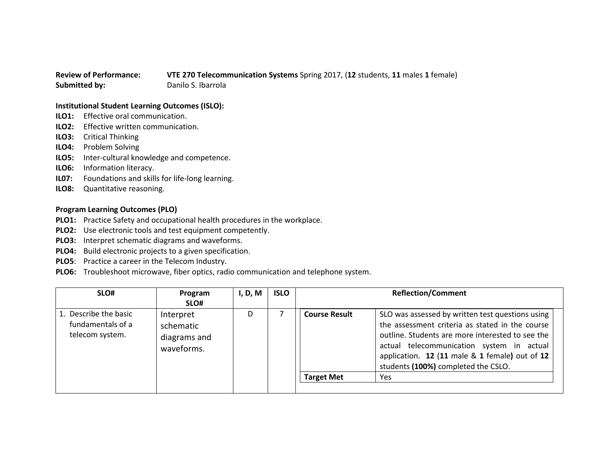## **Review of Performance: VTE 270 Telecommunication Systems** Spring 2017, (**12** students, **11** males **1** female) **Submitted by:** Danilo S. Ibarrola

## **Institutional Student Learning Outcomes (ISLO):**

- **ILO1:** Effective oral communication.
- **ILO2:** Effective written communication.
- **ILO3:** Critical Thinking
- **ILO4:** Problem Solving
- **ILO5:** Inter-cultural knowledge and competence.
- **ILO6:** Information literacy.
- **IL07:** Foundations and skills for life-long learning.
- **ILO8:** Quantitative reasoning.

## **Program Learning Outcomes (PLO)**

- **PLO1:** Practice Safety and occupational health procedures in the workplace.
- **PLO2:** Use electronic tools and test equipment competently.
- **PLO3:** Interpret schematic diagrams and waveforms.
- **PLO4:** Build electronic projects to a given specification.
- **PLO5**: Practice a career in the Telecom Industry.
- **PLO6:** Troubleshoot microwave, fiber optics, radio communication and telephone system.

| SLO#                                                          | Program<br>SLO#                                      | I, D, M | <b>ISLO</b> |                      | <b>Reflection/Comment</b>                                                                                                                                                                                                                                                                     |
|---------------------------------------------------------------|------------------------------------------------------|---------|-------------|----------------------|-----------------------------------------------------------------------------------------------------------------------------------------------------------------------------------------------------------------------------------------------------------------------------------------------|
| 1. Describe the basic<br>fundamentals of a<br>telecom system. | Interpret<br>schematic<br>diagrams and<br>waveforms. | D       |             | <b>Course Result</b> | SLO was assessed by written test questions using<br>the assessment criteria as stated in the course<br>outline. Students are more interested to see the<br>actual telecommunication system in actual<br>application. 12 (11 male & 1 female) out of 12<br>students (100%) completed the CSLO. |
|                                                               |                                                      |         |             | <b>Target Met</b>    | Yes                                                                                                                                                                                                                                                                                           |
|                                                               |                                                      |         |             |                      |                                                                                                                                                                                                                                                                                               |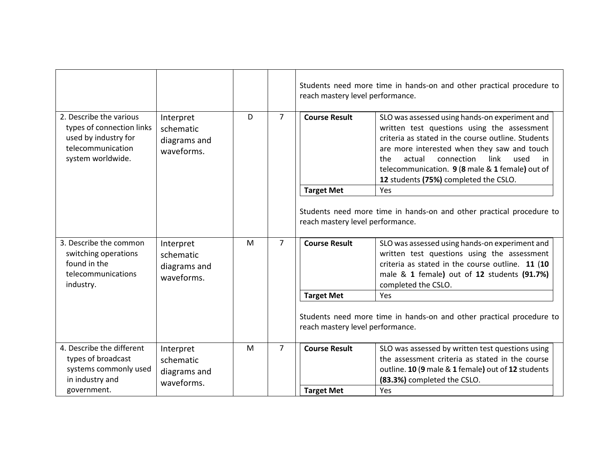|                                                                                                                        |                                                      |   |                | Students need more time in hands-on and other practical procedure to<br>reach mastery level performance. |                                                                                                                                                                                                                                                                                                                                                     |  |
|------------------------------------------------------------------------------------------------------------------------|------------------------------------------------------|---|----------------|----------------------------------------------------------------------------------------------------------|-----------------------------------------------------------------------------------------------------------------------------------------------------------------------------------------------------------------------------------------------------------------------------------------------------------------------------------------------------|--|
| 2. Describe the various<br>types of connection links<br>used by industry for<br>telecommunication<br>system worldwide. | Interpret<br>schematic<br>diagrams and<br>waveforms. | D | $\overline{7}$ | <b>Course Result</b>                                                                                     | SLO was assessed using hands-on experiment and<br>written test questions using the assessment<br>criteria as stated in the course outline. Students<br>are more interested when they saw and touch<br>actual<br>connection<br>link<br>the<br>used<br>in<br>telecommunication. 9 (8 male & 1 female) out of<br>12 students (75%) completed the CSLO. |  |
|                                                                                                                        |                                                      |   |                | <b>Target Met</b>                                                                                        | Yes                                                                                                                                                                                                                                                                                                                                                 |  |
|                                                                                                                        |                                                      |   |                | reach mastery level performance.                                                                         | Students need more time in hands-on and other practical procedure to                                                                                                                                                                                                                                                                                |  |
| 3. Describe the common<br>switching operations<br>found in the<br>telecommunications<br>industry.                      | Interpret<br>schematic<br>diagrams and<br>waveforms. | M | $\overline{7}$ | <b>Course Result</b>                                                                                     | SLO was assessed using hands-on experiment and<br>written test questions using the assessment<br>criteria as stated in the course outline. 11 (10<br>male & 1 female) out of 12 students (91.7%)<br>completed the CSLO.                                                                                                                             |  |
|                                                                                                                        |                                                      |   |                | <b>Target Met</b>                                                                                        | Yes                                                                                                                                                                                                                                                                                                                                                 |  |
|                                                                                                                        |                                                      |   |                | Students need more time in hands-on and other practical procedure to<br>reach mastery level performance. |                                                                                                                                                                                                                                                                                                                                                     |  |
| 4. Describe the different                                                                                              | Interpret                                            | M | $\overline{7}$ | <b>Course Result</b>                                                                                     | SLO was assessed by written test questions using                                                                                                                                                                                                                                                                                                    |  |
| types of broadcast                                                                                                     | schematic                                            |   |                |                                                                                                          | the assessment criteria as stated in the course                                                                                                                                                                                                                                                                                                     |  |
| systems commonly used<br>in industry and                                                                               | diagrams and<br>waveforms.                           |   |                |                                                                                                          | outline. 10 (9 male & 1 female) out of 12 students<br>(83.3%) completed the CSLO.                                                                                                                                                                                                                                                                   |  |
| government.                                                                                                            |                                                      |   |                | <b>Target Met</b>                                                                                        | Yes                                                                                                                                                                                                                                                                                                                                                 |  |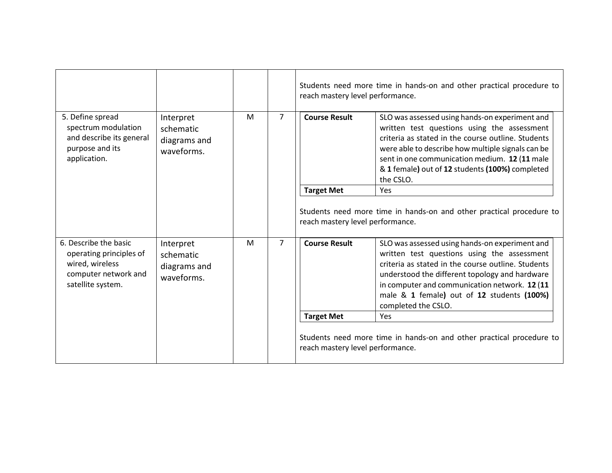|                                                                                                                  |                                                      |   |                | Students need more time in hands-on and other practical procedure to<br>reach mastery level performance. |                                                                                                                                                                                                                                                                                                                             |  |
|------------------------------------------------------------------------------------------------------------------|------------------------------------------------------|---|----------------|----------------------------------------------------------------------------------------------------------|-----------------------------------------------------------------------------------------------------------------------------------------------------------------------------------------------------------------------------------------------------------------------------------------------------------------------------|--|
| 5. Define spread<br>spectrum modulation<br>and describe its general<br>purpose and its<br>application.           | Interpret<br>schematic<br>diagrams and<br>waveforms. | M | $\overline{7}$ | <b>Course Result</b>                                                                                     | SLO was assessed using hands-on experiment and<br>written test questions using the assessment<br>criteria as stated in the course outline. Students<br>were able to describe how multiple signals can be<br>sent in one communication medium. 12 (11 male<br>& 1 female) out of 12 students (100%) completed<br>the CSLO.   |  |
|                                                                                                                  |                                                      |   |                | <b>Target Met</b>                                                                                        | Yes                                                                                                                                                                                                                                                                                                                         |  |
|                                                                                                                  |                                                      |   |                | reach mastery level performance.                                                                         | Students need more time in hands-on and other practical procedure to                                                                                                                                                                                                                                                        |  |
| 6. Describe the basic<br>operating principles of<br>wired, wireless<br>computer network and<br>satellite system. | Interpret<br>schematic<br>diagrams and<br>waveforms. | M | $\overline{7}$ | <b>Course Result</b>                                                                                     | SLO was assessed using hands-on experiment and<br>written test questions using the assessment<br>criteria as stated in the course outline. Students<br>understood the different topology and hardware<br>in computer and communication network. 12 (11<br>male & 1 female) out of 12 students (100%)<br>completed the CSLO. |  |
|                                                                                                                  |                                                      |   |                | <b>Target Met</b>                                                                                        | Yes                                                                                                                                                                                                                                                                                                                         |  |
|                                                                                                                  |                                                      |   |                | reach mastery level performance.                                                                         | Students need more time in hands-on and other practical procedure to                                                                                                                                                                                                                                                        |  |